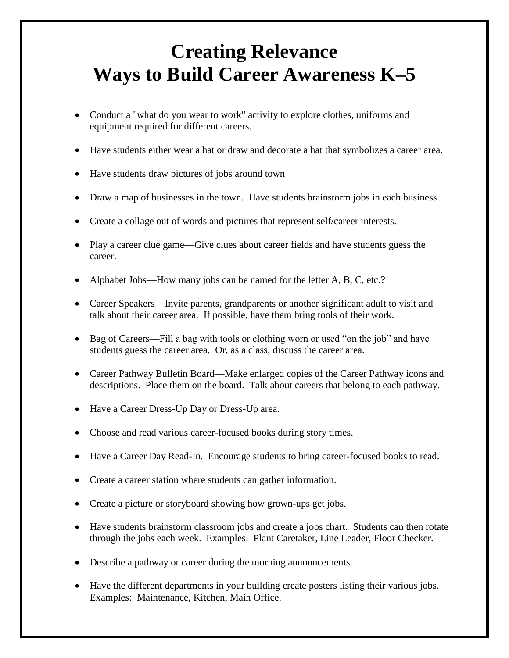## **Creating Relevance Ways to Build Career Awareness K–5**

- Conduct a "what do you wear to work" activity to explore clothes, uniforms and equipment required for different careers.
- Have students either wear a hat or draw and decorate a hat that symbolizes a career area.
- Have students draw pictures of jobs around town
- Draw a map of businesses in the town. Have students brainstorm jobs in each business
- Create a collage out of words and pictures that represent self/career interests.
- Play a career clue game—Give clues about career fields and have students guess the career.
- Alphabet Jobs—How many jobs can be named for the letter A, B, C, etc.?
- Career Speakers—Invite parents, grandparents or another significant adult to visit and talk about their career area. If possible, have them bring tools of their work.
- Bag of Careers—Fill a bag with tools or clothing worn or used "on the job" and have students guess the career area. Or, as a class, discuss the career area.
- Career Pathway Bulletin Board—Make enlarged copies of the Career Pathway icons and descriptions. Place them on the board. Talk about careers that belong to each pathway.
- Have a Career Dress-Up Day or Dress-Up area.
- Choose and read various career-focused books during story times.
- Have a Career Day Read-In. Encourage students to bring career-focused books to read.
- Create a career station where students can gather information.
- Create a picture or storyboard showing how grown-ups get jobs.
- Have students brainstorm classroom jobs and create a jobs chart. Students can then rotate through the jobs each week. Examples: Plant Caretaker, Line Leader, Floor Checker.
- Describe a pathway or career during the morning announcements.
- Have the different departments in your building create posters listing their various jobs. Examples: Maintenance, Kitchen, Main Office.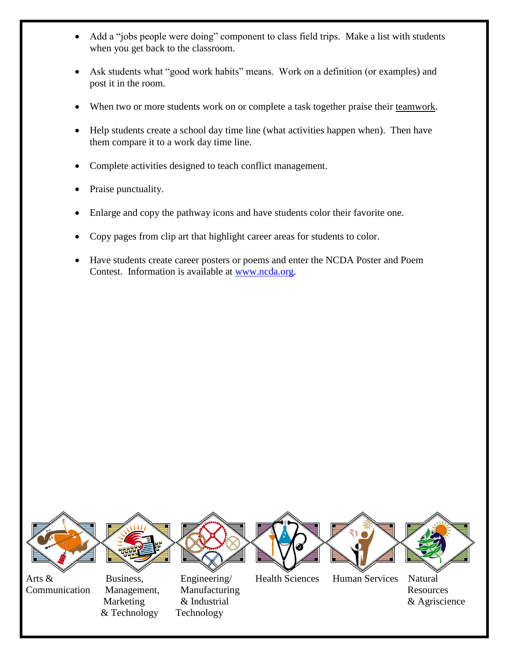- Add a "jobs people were doing" component to class field trips. Make a list with students when you get back to the classroom.
- Ask students what "good work habits" means. Work on a definition (or examples) and post it in the room.
- When two or more students work on or complete a task together praise their teamwork.
- Help students create a school day time line (what activities happen when). Then have them compare it to a work day time line.
- Complete activities designed to teach conflict management.
- Praise punctuality.
- Enlarge and copy the pathway icons and have students color their favorite one.
- Copy pages from clip art that highlight career areas for students to color.
- Have students create career posters or poems and enter the NCDA Poster and Poem Contest. Information is available at [www.ncda.org.](http://www.ncda.org/)



Communication Management, Manufacturing Resources

& Technology Technology

Marketing & Industrial  $\&$  Agriscience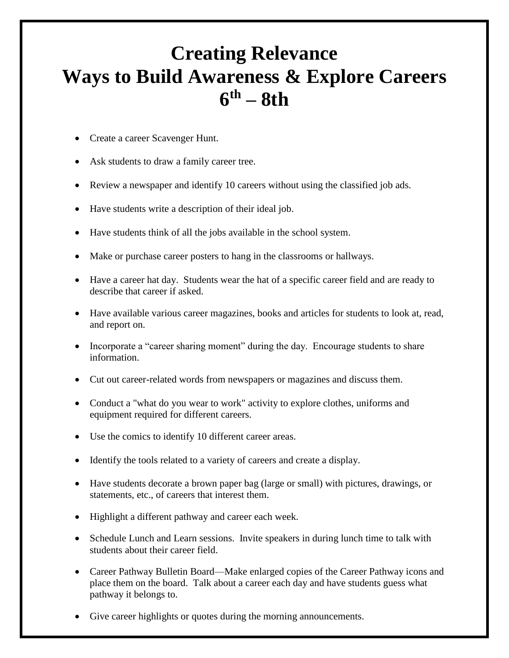## **Creating Relevance Ways to Build Awareness & Explore Careers 6 th – 8th**

- Create a career Scavenger Hunt.
- Ask students to draw a family career tree.
- Review a newspaper and identify 10 careers without using the classified job ads.
- Have students write a description of their ideal job.
- Have students think of all the jobs available in the school system.
- Make or purchase career posters to hang in the classrooms or hallways.
- Have a career hat day. Students wear the hat of a specific career field and are ready to describe that career if asked.
- Have available various career magazines, books and articles for students to look at, read, and report on.
- Incorporate a "career sharing moment" during the day. Encourage students to share information.
- Cut out career-related words from newspapers or magazines and discuss them.
- Conduct a "what do you wear to work" activity to explore clothes, uniforms and equipment required for different careers.
- Use the comics to identify 10 different career areas.
- Identify the tools related to a variety of careers and create a display.
- Have students decorate a brown paper bag (large or small) with pictures, drawings, or statements, etc., of careers that interest them.
- Highlight a different pathway and career each week.
- Schedule Lunch and Learn sessions. Invite speakers in during lunch time to talk with students about their career field.
- Career Pathway Bulletin Board—Make enlarged copies of the Career Pathway icons and place them on the board. Talk about a career each day and have students guess what pathway it belongs to.
- Give career highlights or quotes during the morning announcements.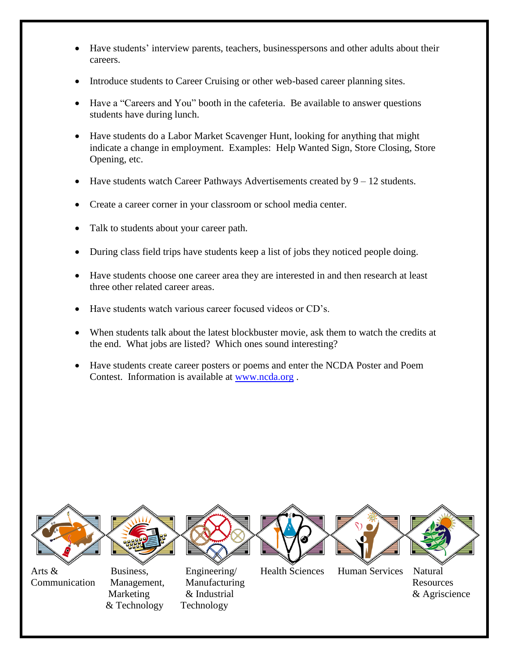- Have students' interview parents, teachers, businesspersons and other adults about their careers.
- Introduce students to Career Cruising or other web-based career planning sites.
- Have a "Careers and You" booth in the cafeteria. Be available to answer questions students have during lunch.
- Have students do a Labor Market Scavenger Hunt, looking for anything that might indicate a change in employment. Examples: Help Wanted Sign, Store Closing, Store Opening, etc.
- Have students watch Career Pathways Advertisements created by  $9 12$  students.
- Create a career corner in your classroom or school media center.
- Talk to students about your career path.
- During class field trips have students keep a list of jobs they noticed people doing.
- Have students choose one career area they are interested in and then research at least three other related career areas.
- Have students watch various career focused videos or CD's.
- When students talk about the latest blockbuster movie, ask them to watch the credits at the end. What jobs are listed? Which ones sound interesting?
- Have students create career posters or poems and enter the NCDA Poster and Poem Contest. Information is available at [www.ncda.org](http://www.ncda.org/) .



& Technology Technology

Communication Management, Manufacturing Resources Marketing & Industrial  $\&$  Agriscience

Arts & Business, Engineering/ Health Sciences Human Services Natural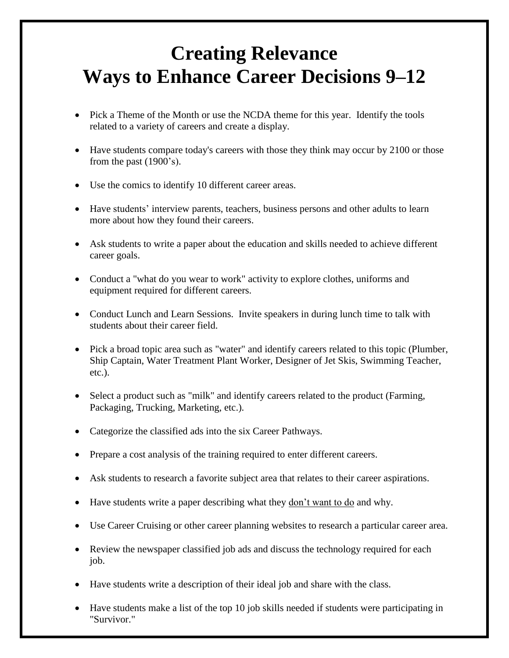## **Creating Relevance Ways to Enhance Career Decisions 9–12**

- Pick a Theme of the Month or use the NCDA theme for this year. Identify the tools related to a variety of careers and create a display.
- Have students compare today's careers with those they think may occur by 2100 or those from the past (1900's).
- Use the comics to identify 10 different career areas.
- Have students' interview parents, teachers, business persons and other adults to learn more about how they found their careers.
- Ask students to write a paper about the education and skills needed to achieve different career goals.
- Conduct a "what do you wear to work" activity to explore clothes, uniforms and equipment required for different careers.
- Conduct Lunch and Learn Sessions. Invite speakers in during lunch time to talk with students about their career field.
- Pick a broad topic area such as "water" and identify careers related to this topic (Plumber, Ship Captain, Water Treatment Plant Worker, Designer of Jet Skis, Swimming Teacher, etc.).
- Select a product such as "milk" and identify careers related to the product (Farming, Packaging, Trucking, Marketing, etc.).
- Categorize the classified ads into the six Career Pathways.
- Prepare a cost analysis of the training required to enter different careers.
- Ask students to research a favorite subject area that relates to their career aspirations.
- Have students write a paper describing what they don't want to do and why.
- Use Career Cruising or other career planning websites to research a particular career area.
- Review the newspaper classified job ads and discuss the technology required for each job.
- Have students write a description of their ideal job and share with the class.
- Have students make a list of the top 10 job skills needed if students were participating in "Survivor."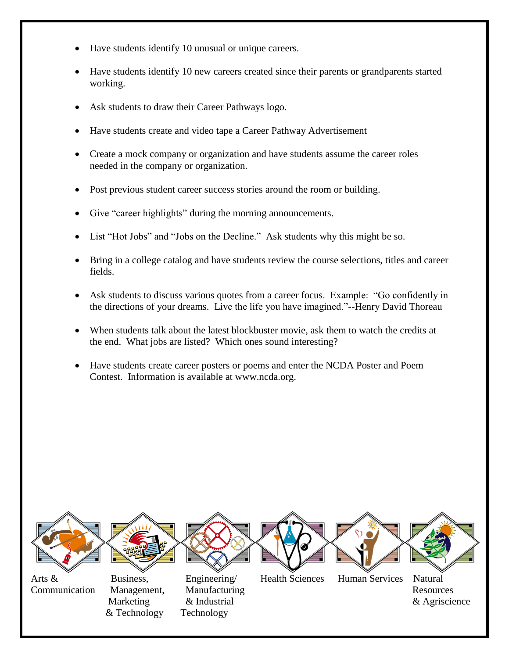- Have students identify 10 unusual or unique careers.
- Have students identify 10 new careers created since their parents or grandparents started working.
- Ask students to draw their Career Pathways logo.
- Have students create and video tape a Career Pathway Advertisement
- Create a mock company or organization and have students assume the career roles needed in the company or organization.
- Post previous student career success stories around the room or building.
- Give "career highlights" during the morning announcements.
- List "Hot Jobs" and "Jobs on the Decline." Ask students why this might be so.
- Bring in a college catalog and have students review the course selections, titles and career fields.
- Ask students to discuss various quotes from a career focus. Example: "Go confidently in the directions of your dreams. Live the life you have imagined."--Henry David Thoreau
- When students talk about the latest blockbuster movie, ask them to watch the credits at the end. What jobs are listed? Which ones sound interesting?
- Have students create career posters or poems and enter the NCDA Poster and Poem Contest. Information is available at www.ncda.org.



Communication Management, Manufacturing Resources

& Technology Technology

Marketing & Industrial  $\&$  Agriscience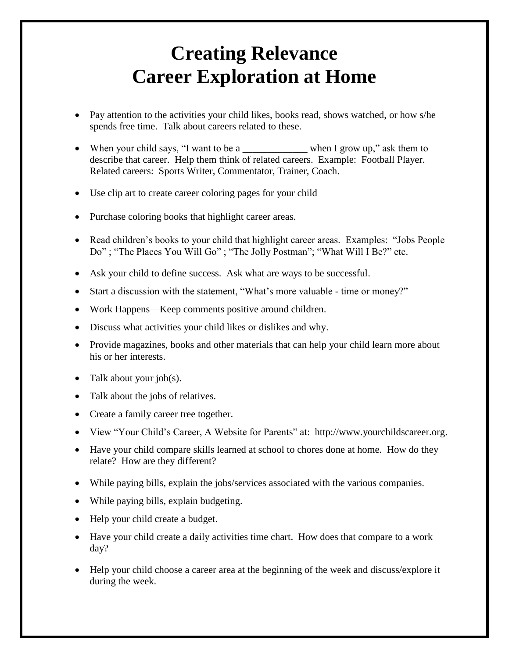## **Creating Relevance Career Exploration at Home**

- Pay attention to the activities your child likes, books read, shows watched, or how s/he spends free time. Talk about careers related to these.
- When your child says, "I want to be a when I grow up," ask them to describe that career. Help them think of related careers. Example: Football Player. Related careers: Sports Writer, Commentator, Trainer, Coach.
- Use clip art to create career coloring pages for your child
- Purchase coloring books that highlight career areas.
- Read children's books to your child that highlight career areas. Examples: "Jobs People" Do" ; "The Places You Will Go" ; "The Jolly Postman"; "What Will I Be?" etc.
- Ask your child to define success. Ask what are ways to be successful.
- Start a discussion with the statement, "What's more valuable time or money?"
- Work Happens—Keep comments positive around children.
- Discuss what activities your child likes or dislikes and why.
- Provide magazines, books and other materials that can help your child learn more about his or her interests.
- Talk about your job(s).
- Talk about the jobs of relatives.
- Create a family career tree together.
- View "Your Child's Career, A Website for Parents" at: http://www.yourchildscareer.org.
- Have your child compare skills learned at school to chores done at home. How do they relate? How are they different?
- While paying bills, explain the jobs/services associated with the various companies.
- While paying bills, explain budgeting.
- Help your child create a budget.
- Have your child create a daily activities time chart. How does that compare to a work day?
- Help your child choose a career area at the beginning of the week and discuss/explore it during the week.